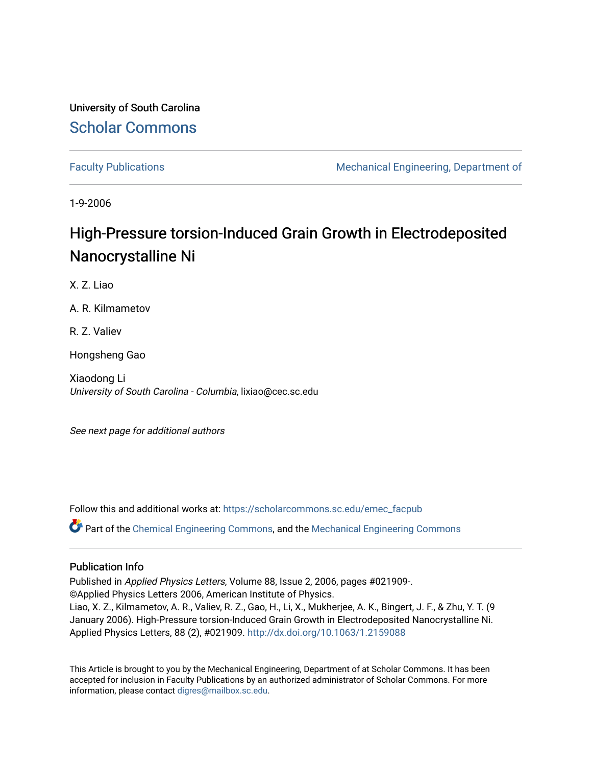University of South Carolina [Scholar Commons](https://scholarcommons.sc.edu/) 

[Faculty Publications](https://scholarcommons.sc.edu/emec_facpub) **Mechanical Engineering, Department of** Mechanical Engineering, Department of

1-9-2006

# High-Pressure torsion-Induced Grain Growth in Electrodeposited Nanocrystalline Ni

X. Z. Liao

A. R. Kilmametov

R. Z. Valiev

Hongsheng Gao

Xiaodong Li University of South Carolina - Columbia, lixiao@cec.sc.edu

See next page for additional authors

Follow this and additional works at: [https://scholarcommons.sc.edu/emec\\_facpub](https://scholarcommons.sc.edu/emec_facpub?utm_source=scholarcommons.sc.edu%2Femec_facpub%2F156&utm_medium=PDF&utm_campaign=PDFCoverPages) 

 $\bullet$  Part of the [Chemical Engineering Commons](http://network.bepress.com/hgg/discipline/240?utm_source=scholarcommons.sc.edu%2Femec_facpub%2F156&utm_medium=PDF&utm_campaign=PDFCoverPages), and the Mechanical Engineering Commons

### Publication Info

Published in Applied Physics Letters, Volume 88, Issue 2, 2006, pages #021909-. ©Applied Physics Letters 2006, American Institute of Physics. Liao, X. Z., Kilmametov, A. R., Valiev, R. Z., Gao, H., Li, X., Mukherjee, A. K., Bingert, J. F., & Zhu, Y. T. (9 January 2006). High-Pressure torsion-Induced Grain Growth in Electrodeposited Nanocrystalline Ni. Applied Physics Letters, 88 (2), #021909. [http://dx.doi.org/10.1063/1.2159088](http://dx.doi.org/10.1063/1.2159088%20) 

This Article is brought to you by the Mechanical Engineering, Department of at Scholar Commons. It has been accepted for inclusion in Faculty Publications by an authorized administrator of Scholar Commons. For more information, please contact [digres@mailbox.sc.edu.](mailto:digres@mailbox.sc.edu)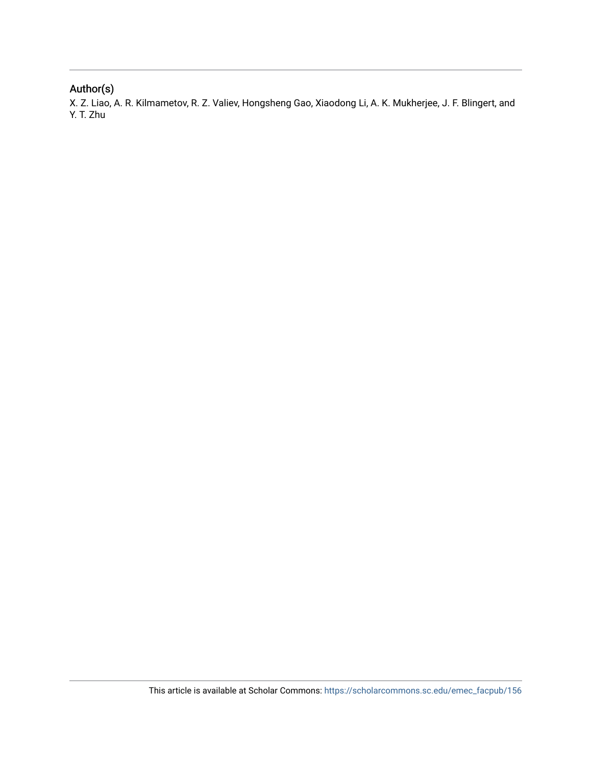## Author(s)

X. Z. Liao, A. R. Kilmametov, R. Z. Valiev, Hongsheng Gao, Xiaodong Li, A. K. Mukherjee, J. F. Blingert, and Y. T. Zhu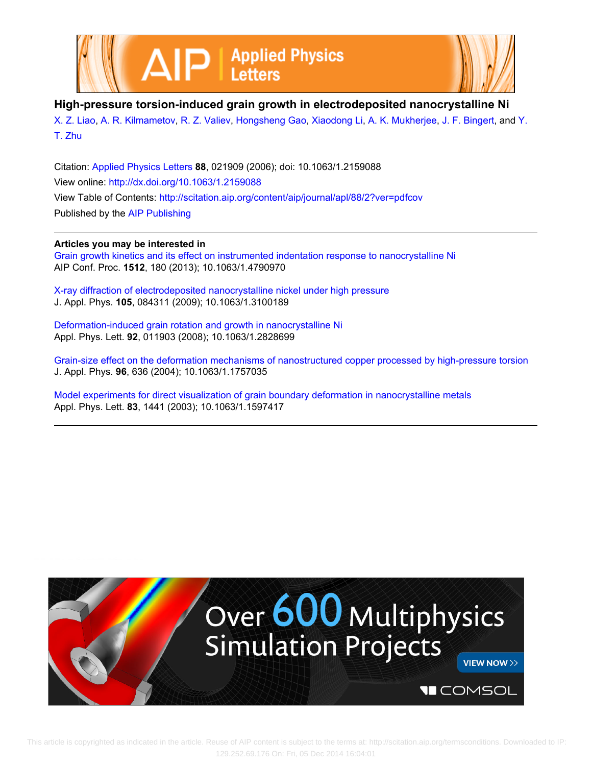



**High-pressure torsion-induced grain growth in electrodeposited nanocrystalline Ni**

[X. Z. Liao,](http://scitation.aip.org/search?value1=X.+Z.+Liao&option1=author) [A. R. Kilmametov](http://scitation.aip.org/search?value1=A.+R.+Kilmametov&option1=author), [R. Z. Valiev,](http://scitation.aip.org/search?value1=R.+Z.+Valiev&option1=author) [Hongsheng Gao,](http://scitation.aip.org/search?value1=Hongsheng+Gao&option1=author) [Xiaodong Li](http://scitation.aip.org/search?value1=Xiaodong+Li&option1=author), [A. K. Mukherjee,](http://scitation.aip.org/search?value1=A.+K.+Mukherjee&option1=author) [J. F. Bingert](http://scitation.aip.org/search?value1=J.+F.+Bingert&option1=author), and [Y.](http://scitation.aip.org/search?value1=Y.+T.+Zhu&option1=author) [T. Zhu](http://scitation.aip.org/search?value1=Y.+T.+Zhu&option1=author)

Citation: [Applied Physics Letters](http://scitation.aip.org/content/aip/journal/apl?ver=pdfcov) **88**, 021909 (2006); doi: 10.1063/1.2159088 View online: <http://dx.doi.org/10.1063/1.2159088> View Table of Contents: <http://scitation.aip.org/content/aip/journal/apl/88/2?ver=pdfcov> Published by the [AIP Publishing](http://scitation.aip.org/content/aip?ver=pdfcov)

### **Articles you may be interested in**

[Grain growth kinetics and its effect on instrumented indentation response to nanocrystalline Ni](http://scitation.aip.org/content/aip/proceeding/aipcp/10.1063/1.4790970?ver=pdfcov) AIP Conf. Proc. **1512**, 180 (2013); 10.1063/1.4790970

[X-ray diffraction of electrodeposited nanocrystalline nickel under high pressure](http://scitation.aip.org/content/aip/journal/jap/105/8/10.1063/1.3100189?ver=pdfcov) J. Appl. Phys. **105**, 084311 (2009); 10.1063/1.3100189

[Deformation-induced grain rotation and growth in nanocrystalline Ni](http://scitation.aip.org/content/aip/journal/apl/92/1/10.1063/1.2828699?ver=pdfcov) Appl. Phys. Lett. **92**, 011903 (2008); 10.1063/1.2828699

[Grain-size effect on the deformation mechanisms of nanostructured copper processed by high-pressure torsion](http://scitation.aip.org/content/aip/journal/jap/96/1/10.1063/1.1757035?ver=pdfcov) J. Appl. Phys. **96**, 636 (2004); 10.1063/1.1757035

[Model experiments for direct visualization of grain boundary deformation in nanocrystalline metals](http://scitation.aip.org/content/aip/journal/apl/83/7/10.1063/1.1597417?ver=pdfcov) Appl. Phys. Lett. **83**, 1441 (2003); 10.1063/1.1597417

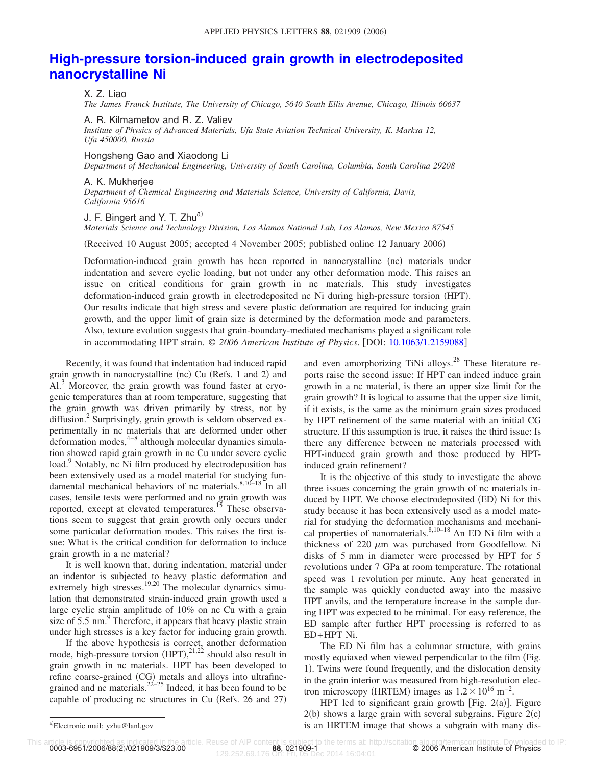# **[High-pressure torsion-induced grain growth in electrodeposited](http://dx.doi.org/10.1063/1.2159088) [nanocrystalline Ni](http://dx.doi.org/10.1063/1.2159088)**

### X. Z. Liao

*The James Franck Institute, The University of Chicago, 5640 South Ellis Avenue, Chicago, Illinois 60637*

A. R. Kilmametov and R. Z. Valiev

*Institute of Physics of Advanced Materials, Ufa State Aviation Technical University, K. Marksa 12, Ufa 450000, Russia*

#### Hongsheng Gao and Xiaodong Li

*Department of Mechanical Engineering, University of South Carolina, Columbia, South Carolina 29208*

### A. K. Mukherjee

*Department of Chemical Engineering and Materials Science, University of California, Davis, California 95616*

### J. F. Bingert and Y. T.  $Zhu^{a}$

*Materials Science and Technology Division, Los Alamos National Lab, Los Alamos, New Mexico 87545*

(Received 10 August 2005; accepted 4 November 2005; published online 12 January 2006)

Deformation-induced grain growth has been reported in nanocrystalline (nc) materials under indentation and severe cyclic loading, but not under any other deformation mode. This raises an issue on critical conditions for grain growth in nc materials. This study investigates deformation-induced grain growth in electrodeposited nc Ni during high-pressure torsion (HPT). Our results indicate that high stress and severe plastic deformation are required for inducing grain growth, and the upper limit of grain size is determined by the deformation mode and parameters. Also, texture evolution suggests that grain-boundary-mediated mechanisms played a significant role in accommodating HPT strain. © *2006 American Institute of Physics*. DOI: [10.1063/1.2159088](http://dx.doi.org/10.1063/1.2159088)

Recently, it was found that indentation had induced rapid grain growth in nanocrystalline (nc) Cu (Refs. 1 and 2) and Al.<sup>3</sup> Moreover, the grain growth was found faster at cryogenic temperatures than at room temperature, suggesting that the grain growth was driven primarily by stress, not by diffusion.<sup>2</sup> Surprisingly, grain growth is seldom observed experimentally in nc materials that are deformed under other  $deformation$  modes,  $4-8$  although molecular dynamics simulation showed rapid grain growth in nc Cu under severe cyclic load.<sup>9</sup> Notably, nc Ni film produced by electrodeposition has been extensively used as a model material for studying fundamental mechanical behaviors of nc materials.  $8,10-18$  In all cases, tensile tests were performed and no grain growth was reported, except at elevated temperatures.<sup>15</sup> These observations seem to suggest that grain growth only occurs under some particular deformation modes. This raises the first issue: What is the critical condition for deformation to induce grain growth in a nc material?

It is well known that, during indentation, material under an indentor is subjected to heavy plastic deformation and extremely high stresses.<sup>19,20</sup> The molecular dynamics simulation that demonstrated strain-induced grain growth used a large cyclic strain amplitude of 10% on nc Cu with a grain size of  $5.5 \text{ nm}$ . Therefore, it appears that heavy plastic strain under high stresses is a key factor for inducing grain growth.

If the above hypothesis is correct, another deformation mode, high-pressure torsion  $(HPT)$ ,  $^{21,22}$  should also result in grain growth in nc materials. HPT has been developed to refine coarse-grained (CG) metals and alloys into ultrafinegrained and nc materials.<sup>22–25</sup> Indeed, it has been found to be capable of producing nc structures in Cu (Refs. 26 and 27)

and even amorphorizing TiNi alloys.<sup>28</sup> These literature reports raise the second issue: If HPT can indeed induce grain growth in a nc material, is there an upper size limit for the grain growth? It is logical to assume that the upper size limit, if it exists, is the same as the minimum grain sizes produced by HPT refinement of the same material with an initial CG structure. If this assumption is true, it raises the third issue: Is there any difference between nc materials processed with HPT-induced grain growth and those produced by HPTinduced grain refinement?

It is the objective of this study to investigate the above three issues concerning the grain growth of nc materials induced by HPT. We choose electrodeposited (ED) Ni for this study because it has been extensively used as a model material for studying the deformation mechanisms and mechanical properties of nanomaterials. $8,10-18$  An ED Ni film with a thickness of  $220 \mu m$  was purchased from Goodfellow. Ni disks of 5 mm in diameter were processed by HPT for 5 revolutions under 7 GPa at room temperature. The rotational speed was 1 revolution per minute. Any heat generated in the sample was quickly conducted away into the massive HPT anvils, and the temperature increase in the sample during HPT was expected to be minimal. For easy reference, the ED sample after further HPT processing is referred to as ED+HPT Ni.

The ED Ni film has a columnar structure, with grains mostly equiaxed when viewed perpendicular to the film (Fig. 1). Twins were found frequently, and the dislocation density in the grain interior was measured from high-resolution electron microscopy (HRTEM) images as  $1.2 \times 10^{16}$  m<sup>-2</sup>.

HPT led to significant grain growth [Fig.  $2(a)$ ]. Figure  $2(b)$  shows a large grain with several subgrains. Figure  $2(c)$ is an HRTEM image that shows a subgrain with many dis-

0003-6951/2006/88(2)/021909/3/\$23.00

Electronic mail: yzhu@lanl.gov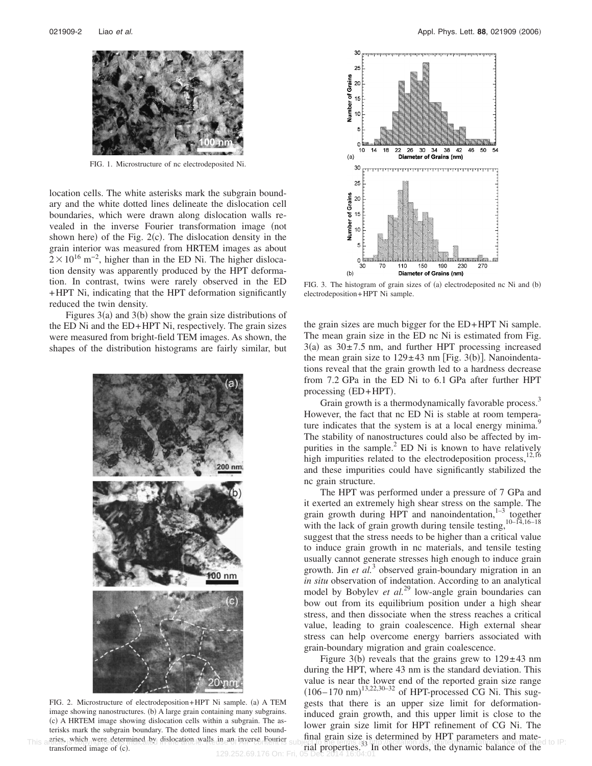

FIG. 1. Microstructure of nc electrodeposited Ni.

location cells. The white asterisks mark the subgrain boundary and the white dotted lines delineate the dislocation cell boundaries, which were drawn along dislocation walls revealed in the inverse Fourier transformation image (not shown here) of the Fig.  $2(c)$ . The dislocation density in the grain interior was measured from HRTEM images as about  $2 \times 10^{16}$  m<sup>-2</sup>, higher than in the ED Ni. The higher dislocation density was apparently produced by the HPT deformation. In contrast, twins were rarely observed in the ED +HPT Ni, indicating that the HPT deformation significantly reduced the twin density.

Figures  $3(a)$  and  $3(b)$  show the grain size distributions of the ED Ni and the ED+HPT Ni, respectively. The grain sizes were measured from bright-field TEM images. As shown, the shapes of the distribution histograms are fairly similar, but



FIG. 2. Microstructure of electrodeposition+HPT Ni sample. (a) A TEM image showing nanostructures. (b) A large grain containing many subgrains. (c) A HRTEM image showing dislocation cells within a subgrain. The asterisks mark the subgrain boundary. The dotted lines mark the cell boundtransformed image of (c).



FIG. 3. The histogram of grain sizes of (a) electrodeposited nc Ni and (b) electrodeposition+HPT Ni sample.

the grain sizes are much bigger for the ED+HPT Ni sample. The mean grain size in the ED nc Ni is estimated from Fig.  $3(a)$  as  $30\pm7.5$  nm, and further HPT processing increased the mean grain size to  $129 \pm 43$  nm [Fig. 3(b)]. Nanoindentations reveal that the grain growth led to a hardness decrease from 7.2 GPa in the ED Ni to 6.1 GPa after further HPT processing (ED+HPT).

Grain growth is a thermodynamically favorable process.<sup>3</sup> However, the fact that nc ED Ni is stable at room temperature indicates that the system is at a local energy minima.<sup>9</sup> The stability of nanostructures could also be affected by impurities in the sample. $^{2}$  ED Ni is known to have relatively high impurities related to the electrodeposition process, $12,16$ and these impurities could have significantly stabilized the nc grain structure.

The HPT was performed under a pressure of 7 GPa and it exerted an extremely high shear stress on the sample. The grain growth during  $HPT$  and nanoindentation,  $1-3$  together with the lack of grain growth during tensile testing, $10-14,16-18$ suggest that the stress needs to be higher than a critical value to induce grain growth in nc materials, and tensile testing usually cannot generate stresses high enough to induce grain growth. Jin *et al.*<sup>3</sup> observed grain-boundary migration in an *in situ* observation of indentation. According to an analytical model by Bobylev *et al.*<sup>29</sup> low-angle grain boundaries can bow out from its equilibrium position under a high shear stress, and then dissociate when the stress reaches a critical value, leading to grain coalescence. High external shear stress can help overcome energy barriers associated with grain-boundary migration and grain coalescence.

Figure 3(b) reveals that the grains grew to  $129 \pm 43$  nm during the HPT, where 43 nm is the standard deviation. This value is near the lower end of the reported grain size range  $(106 - 170 \text{ nm})^{13,22,30-32}$  of HPT-processed CG Ni. This suggests that there is an upper size limit for deformationinduced grain growth, and this upper limit is close to the lower grain size limit for HPT refinement of CG Ni. The final grain size is determined by HPT parameters and material properties.<sup>33</sup> In other words, the dynamic balance of the This artics which were determined by dislocation walls in an inverse Fourier subject to the terms as utp://scitation.ap.org/termsconditions. Downloaded to IP: